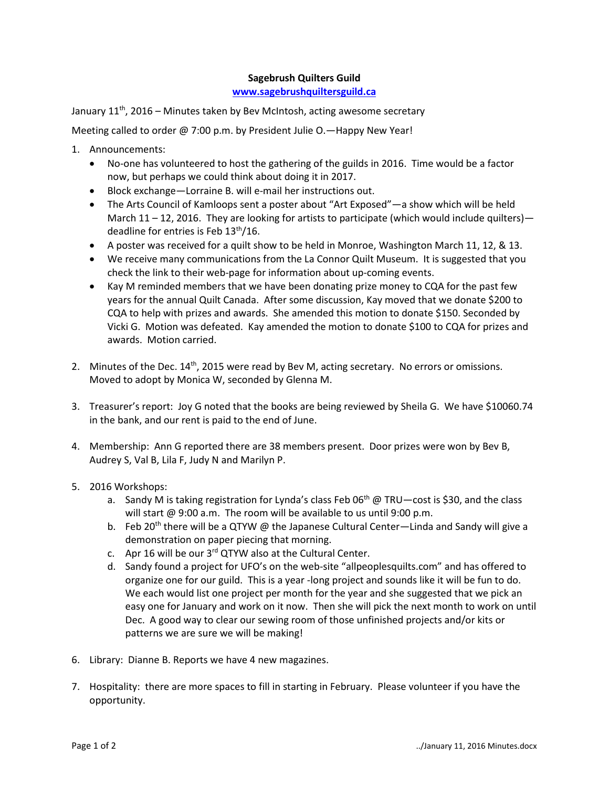## **Sagebrush Quilters Guild**

## **[www.sagebrushquiltersguild.ca](http://www.sagebrushquiltersguild.ca/)**

January  $11<sup>th</sup>$ , 2016 – Minutes taken by Bev McIntosh, acting awesome secretary

Meeting called to order @ 7:00 p.m. by President Julie O.—Happy New Year!

- 1. Announcements:
	- No-one has volunteered to host the gathering of the guilds in 2016. Time would be a factor now, but perhaps we could think about doing it in 2017.
	- Block exchange—Lorraine B. will e-mail her instructions out.
	- The Arts Council of Kamloops sent a poster about "Art Exposed"—a show which will be held March  $11 - 12$ , 2016. They are looking for artists to participate (which would include quilters) deadline for entries is Feb  $13<sup>th</sup>/16$ .
	- A poster was received for a quilt show to be held in Monroe, Washington March 11, 12, & 13.
	- We receive many communications from the La Connor Quilt Museum. It is suggested that you check the link to their web-page for information about up-coming events.
	- Kay M reminded members that we have been donating prize money to CQA for the past few years for the annual Quilt Canada. After some discussion, Kay moved that we donate \$200 to CQA to help with prizes and awards. She amended this motion to donate \$150. Seconded by Vicki G. Motion was defeated. Kay amended the motion to donate \$100 to CQA for prizes and awards. Motion carried.
- 2. Minutes of the Dec.  $14<sup>th</sup>$ , 2015 were read by Bev M, acting secretary. No errors or omissions. Moved to adopt by Monica W, seconded by Glenna M.
- 3. Treasurer's report: Joy G noted that the books are being reviewed by Sheila G. We have \$10060.74 in the bank, and our rent is paid to the end of June.
- 4. Membership: Ann G reported there are 38 members present. Door prizes were won by Bev B, Audrey S, Val B, Lila F, Judy N and Marilyn P.
- 5. 2016 Workshops:
	- a. Sandy M is taking registration for Lynda's class Feb  $06^{th}$  @ TRU-cost is \$30, and the class will start @ 9:00 a.m. The room will be available to us until 9:00 p.m.
	- b. Feb 20<sup>th</sup> there will be a QTYW @ the Japanese Cultural Center—Linda and Sandy will give a demonstration on paper piecing that morning.
	- c. Apr 16 will be our 3rd QTYW also at the Cultural Center.
	- d. Sandy found a project for UFO's on the web-site "allpeoplesquilts.com" and has offered to organize one for our guild. This is a year -long project and sounds like it will be fun to do. We each would list one project per month for the year and she suggested that we pick an easy one for January and work on it now. Then she will pick the next month to work on until Dec. A good way to clear our sewing room of those unfinished projects and/or kits or patterns we are sure we will be making!
- 6. Library: Dianne B. Reports we have 4 new magazines.
- 7. Hospitality: there are more spaces to fill in starting in February. Please volunteer if you have the opportunity.